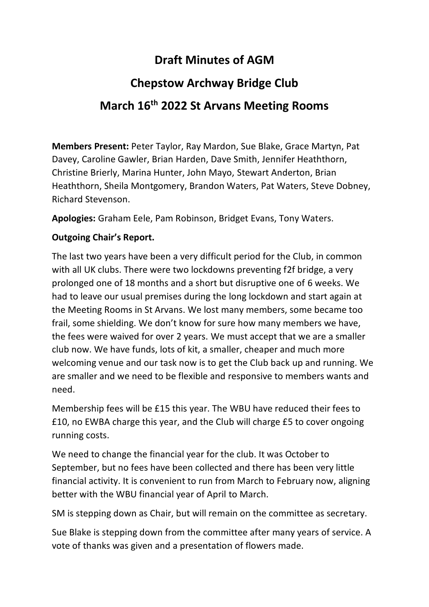## **Draft Minutes of AGM**

## **Chepstow Archway Bridge Club March 16th 2022 St Arvans Meeting Rooms**

**Members Present:** Peter Taylor, Ray Mardon, Sue Blake, Grace Martyn, Pat Davey, Caroline Gawler, Brian Harden, Dave Smith, Jennifer Heaththorn, Christine Brierly, Marina Hunter, John Mayo, Stewart Anderton, Brian Heaththorn, Sheila Montgomery, Brandon Waters, Pat Waters, Steve Dobney, Richard Stevenson.

**Apologies:** Graham Eele, Pam Robinson, Bridget Evans, Tony Waters.

## **Outgoing Chair's Report.**

The last two years have been a very difficult period for the Club, in common with all UK clubs. There were two lockdowns preventing f2f bridge, a very prolonged one of 18 months and a short but disruptive one of 6 weeks. We had to leave our usual premises during the long lockdown and start again at the Meeting Rooms in St Arvans. We lost many members, some became too frail, some shielding. We don't know for sure how many members we have, the fees were waived for over 2 years. We must accept that we are a smaller club now. We have funds, lots of kit, a smaller, cheaper and much more welcoming venue and our task now is to get the Club back up and running. We are smaller and we need to be flexible and responsive to members wants and need.

Membership fees will be £15 this year. The WBU have reduced their fees to £10, no EWBA charge this year, and the Club will charge £5 to cover ongoing running costs.

We need to change the financial year for the club. It was October to September, but no fees have been collected and there has been very little financial activity. It is convenient to run from March to February now, aligning better with the WBU financial year of April to March.

SM is stepping down as Chair, but will remain on the committee as secretary.

Sue Blake is stepping down from the committee after many years of service. A vote of thanks was given and a presentation of flowers made.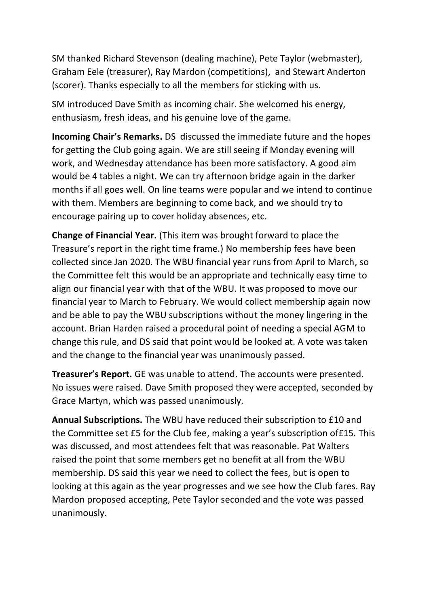SM thanked Richard Stevenson (dealing machine), Pete Taylor (webmaster), Graham Eele (treasurer), Ray Mardon (competitions), and Stewart Anderton (scorer). Thanks especially to all the members for sticking with us.

SM introduced Dave Smith as incoming chair. She welcomed his energy, enthusiasm, fresh ideas, and his genuine love of the game.

**Incoming Chair's Remarks.** DS discussed the immediate future and the hopes for getting the Club going again. We are still seeing if Monday evening will work, and Wednesday attendance has been more satisfactory. A good aim would be 4 tables a night. We can try afternoon bridge again in the darker months if all goes well. On line teams were popular and we intend to continue with them. Members are beginning to come back, and we should try to encourage pairing up to cover holiday absences, etc.

**Change of Financial Year.** (This item was brought forward to place the Treasure's report in the right time frame.) No membership fees have been collected since Jan 2020. The WBU financial year runs from April to March, so the Committee felt this would be an appropriate and technically easy time to align our financial year with that of the WBU. It was proposed to move our financial year to March to February. We would collect membership again now and be able to pay the WBU subscriptions without the money lingering in the account. Brian Harden raised a procedural point of needing a special AGM to change this rule, and DS said that point would be looked at. A vote was taken and the change to the financial year was unanimously passed.

**Treasurer's Report.** GE was unable to attend. The accounts were presented. No issues were raised. Dave Smith proposed they were accepted, seconded by Grace Martyn, which was passed unanimously.

**Annual Subscriptions.** The WBU have reduced their subscription to £10 and the Committee set £5 for the Club fee, making a year's subscription of£15. This was discussed, and most attendees felt that was reasonable. Pat Walters raised the point that some members get no benefit at all from the WBU membership. DS said this year we need to collect the fees, but is open to looking at this again as the year progresses and we see how the Club fares. Ray Mardon proposed accepting, Pete Taylor seconded and the vote was passed unanimously.